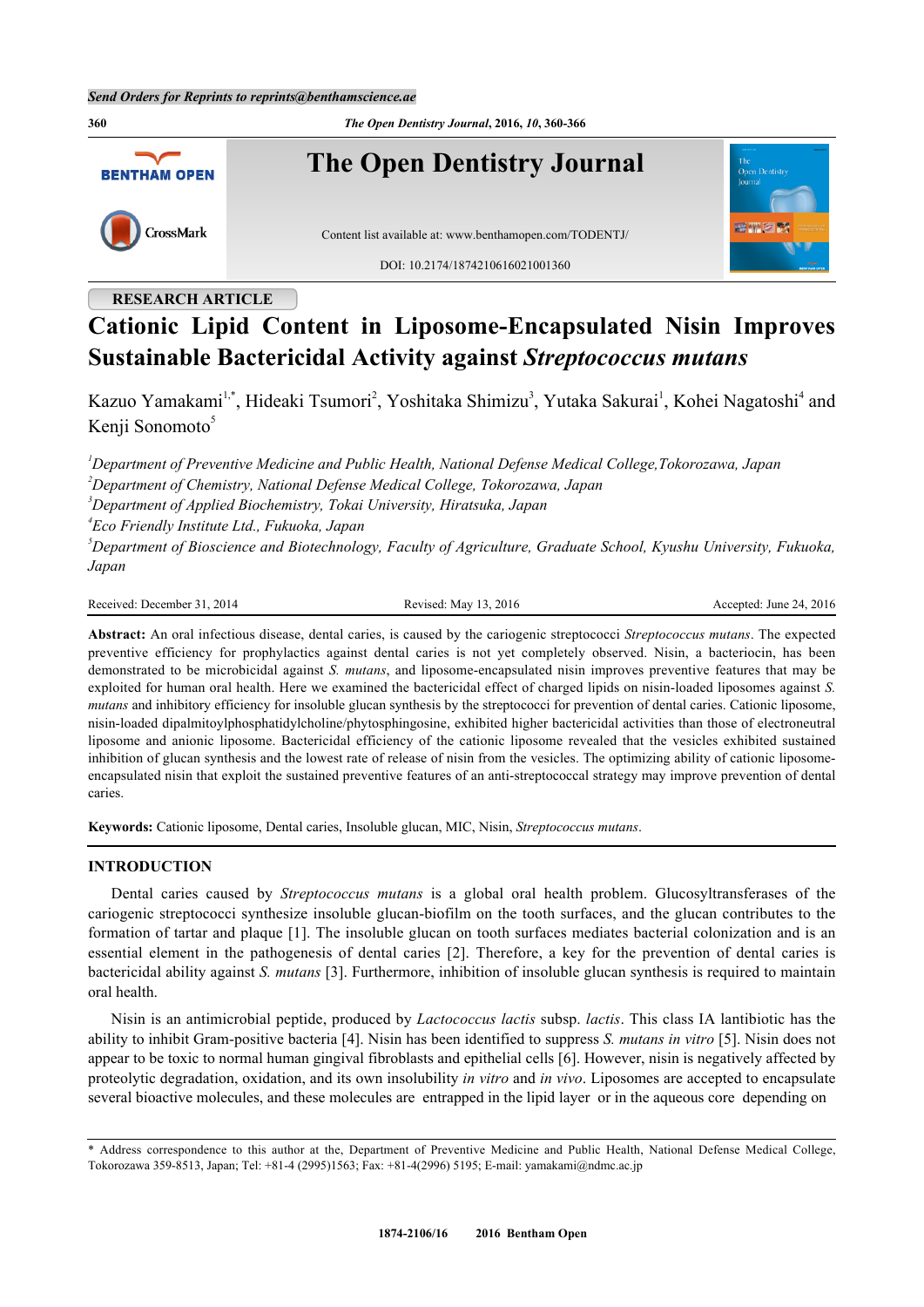**360** *The Open Dentistry Journal***, 2016,** *10***, 360-366 The Open Dentistry Journal BENTHAM OPEN** CrossMark Content list available at: [www.benthamopen.com/TODENTJ/](http://www.benthamopen.com/TODENTJ/) DOI: [10.2174/1874210616021001360](http://dx.doi.org/10.2174/1874210616021001360)

## **RESEARCH ARTICLE**

# **Cationic Lipid Content in Liposome-Encapsulated Nisin Improves Sustainable Bactericidal Activity against** *Streptococcus mutans*

Kazuo Yamakami<sup>[1](#page-0-0),[\\*](#page-0-1)</sup>, Hideaki Tsumori<sup>[2](#page-0-2)</sup>, Yoshitaka Shimizu<sup>[3](#page-0-3)</sup>, Yutaka Sakurai<sup>1</sup>, Kohei Nagatoshi<sup>[4](#page-0-4)</sup> and Kenii Sonomoto<sup>[5](#page-0-5)</sup>

<span id="page-0-2"></span><span id="page-0-0"></span>*<sup>1</sup>Department of Preventive Medicine and Public Health, National Defense Medical College,Tokorozawa, Japan <sup>2</sup>Department of Chemistry, National Defense Medical College, Tokorozawa, Japan <sup>3</sup>Department of Applied Biochemistry, Tokai University, Hiratsuka, Japan*

<span id="page-0-4"></span><span id="page-0-3"></span>*4 Eco Friendly Institute Ltd., Fukuoka, Japan*

<span id="page-0-5"></span>*<sup>5</sup>Department of Bioscience and Biotechnology, Faculty of Agriculture, Graduate School, Kyushu University, Fukuoka, Japan*

Received: December 31, 2014 Revised: May 13, 2016 Accepted: June 24, 2016

**Abstract:** An oral infectious disease, dental caries, is caused by the cariogenic streptococci *Streptococcus mutans*. The expected preventive efficiency for prophylactics against dental caries is not yet completely observed. Nisin, a bacteriocin, has been demonstrated to be microbicidal against *S. mutans*, and liposome-encapsulated nisin improves preventive features that may be exploited for human oral health. Here we examined the bactericidal effect of charged lipids on nisin-loaded liposomes against *S. mutans* and inhibitory efficiency for insoluble glucan synthesis by the streptococci for prevention of dental caries. Cationic liposome, nisin-loaded dipalmitoylphosphatidylcholine/phytosphingosine, exhibited higher bactericidal activities than those of electroneutral liposome and anionic liposome. Bactericidal efficiency of the cationic liposome revealed that the vesicles exhibited sustained inhibition of glucan synthesis and the lowest rate of release of nisin from the vesicles. The optimizing ability of cationic liposomeencapsulated nisin that exploit the sustained preventive features of an anti-streptococcal strategy may improve prevention of dental caries.

**Keywords:** Cationic liposome, Dental caries, Insoluble glucan, MIC, Nisin, *Streptococcus mutans*.

## **INTRODUCTION**

Dental caries caused by *Streptococcus mutans* is a global oral health problem. Glucosyltransferases of the cariogenic streptococci synthesize insoluble glucan-biofilm on the tooth surfaces, and the glucan contributes to the formation of tartar and plaque [[1](#page-5-0)]. The insoluble glucan on tooth surfaces mediates bacterial colonization and is an essential element in the pathogenesis of dental caries[[2\]](#page-5-1). Therefore, a key for the prevention of dental caries is bactericidal ability against *S. mutans* [[3](#page-5-2)]. Furthermore, inhibition of insoluble glucan synthesis is required to maintain oral health.

Nisin is an antimicrobial peptide, produced by *Lactococcus lactis* subsp. *lactis*. This class IA lantibiotic has the ability to inhibit Gram-positive bacteria [[4\]](#page-5-3). Nisin has been identified to suppress *S. mutans in vitro* [\[5\]](#page-5-4). Nisin does not appear to be toxic to normal human gingival fibroblasts and epithelial cells [\[6](#page-5-5)]. However, nisin is negatively affected by proteolytic degradation, oxidation, and its own insolubility *in vitro* and *in vivo*. Liposomes are accepted to encapsulate several bioactive molecules, and these molecules are entrapped in the lipid layer or in the aqueous core depending on

<span id="page-0-1"></span><sup>\*</sup> Address correspondence to this author at the, Department of Preventive Medicine and Public Health, National Defense Medical College, Tokorozawa 359-8513, Japan; Tel: +81-4 (2995)1563; Fax: +81-4(2996) 5195; E-mail: [yamakami@ndmc.ac.jp](mailto:yamakami@ndmc.ac.jp)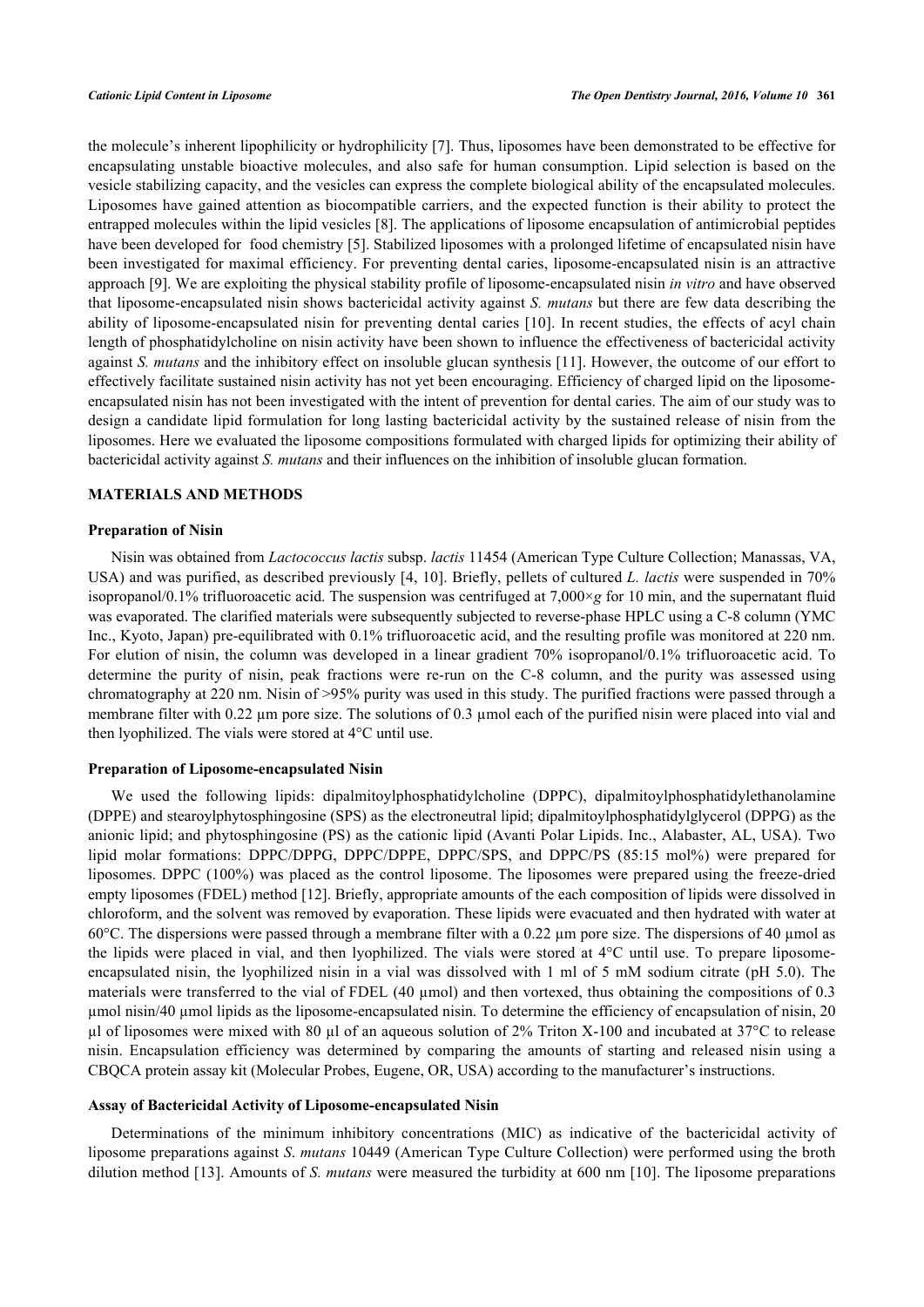the molecule's inherent lipophilicity or hydrophilicity [[7\]](#page-5-6). Thus, liposomes have been demonstrated to be effective for encapsulating unstable bioactive molecules, and also safe for human consumption. Lipid selection is based on the vesicle stabilizing capacity, and the vesicles can express the complete biological ability of the encapsulated molecules. Liposomes have gained attention as biocompatible carriers, and the expected function is their ability to protect the entrapped molecules within the lipid vesicles [\[8](#page-5-7)]. The applications of liposome encapsulation of antimicrobial peptides have been developed for food chemistry [\[5](#page-5-4)]. Stabilized liposomes with a prolonged lifetime of encapsulated nisin have been investigated for maximal efficiency. For preventing dental caries, liposome-encapsulated nisin is an attractive approach [[9\]](#page-5-8). We are exploiting the physical stability profile of liposome-encapsulated nisin *in vitro* and have observed that liposome-encapsulated nisin shows bactericidal activity against *S. mutans* but there are few data describing the ability of liposome-encapsulated nisin for preventing dental caries [[10\]](#page-5-9). In recent studies, the effects of acyl chain length of phosphatidylcholine on nisin activity have been shown to influence the effectiveness of bactericidal activity against *S. mutans* and the inhibitory effect on insoluble glucan synthesis [[11\]](#page-5-10). However, the outcome of our effort to effectively facilitate sustained nisin activity has not yet been encouraging. Efficiency of charged lipid on the liposomeencapsulated nisin has not been investigated with the intent of prevention for dental caries. The aim of our study was to design a candidate lipid formulation for long lasting bactericidal activity by the sustained release of nisin from the liposomes. Here we evaluated the liposome compositions formulated with charged lipids for optimizing their ability of bactericidal activity against *S. mutans* and their influences on the inhibition of insoluble glucan formation.

#### **MATERIALS AND METHODS**

#### **Preparation of Nisin**

Nisin was obtained from *Lactococcus lactis* subsp. *lactis* 11454 (American Type Culture Collection; Manassas, VA, USA) and was purified, as described previously [[4,](#page-5-3) [10](#page-5-9)]. Briefly, pellets of cultured *L. lactis* were suspended in 70% isopropanol/0.1% trifluoroacetic acid. The suspension was centrifuged at 7,000×*g* for 10 min, and the supernatant fluid was evaporated. The clarified materials were subsequently subjected to reverse-phase HPLC using a C-8 column (YMC) Inc., Kyoto, Japan) pre-equilibrated with 0.1% trifluoroacetic acid, and the resulting profile was monitored at 220 nm. For elution of nisin, the column was developed in a linear gradient 70% isopropanol/0.1% trifluoroacetic acid. To determine the purity of nisin, peak fractions were re-run on the C-8 column, and the purity was assessed using chromatography at 220 nm. Nisin of >95% purity was used in this study. The purified fractions were passed through a membrane filter with 0.22  $\mu$ m pore size. The solutions of 0.3  $\mu$ mol each of the purified nisin were placed into vial and then lyophilized. The vials were stored at 4°C until use.

#### **Preparation of Liposome-encapsulated Nisin**

We used the following lipids: dipalmitoylphosphatidylcholine (DPPC), dipalmitoylphosphatidylethanolamine (DPPE) and stearoylphytosphingosine (SPS) as the electroneutral lipid; dipalmitoylphosphatidylglycerol (DPPG) as the anionic lipid; and phytosphingosine (PS) as the cationic lipid (Avanti Polar Lipids. Inc., Alabaster, AL, USA). Two lipid molar formations: DPPC/DPPG, DPPC/DPPE, DPPC/SPS, and DPPC/PS (85:15 mol%) were prepared for liposomes. DPPC (100%) was placed as the control liposome. The liposomes were prepared using the freeze-dried empty liposomes (FDEL) method [[12\]](#page-5-11). Briefly, appropriate amounts of the each composition of lipids were dissolved in chloroform, and the solvent was removed by evaporation. These lipids were evacuated and then hydrated with water at 60 $^{\circ}$ C. The dispersions were passed through a membrane filter with a 0.22  $\mu$ m pore size. The dispersions of 40  $\mu$ mol as the lipids were placed in vial, and then lyophilized. The vials were stored at 4°C until use. To prepare liposomeencapsulated nisin, the lyophilized nisin in a vial was dissolved with 1 ml of 5 mM sodium citrate (pH 5.0). The materials were transferred to the vial of FDEL (40 µmol) and then vortexed, thus obtaining the compositions of 0.3 µmol nisin/40 µmol lipids as the liposome-encapsulated nisin. To determine the efficiency of encapsulation of nisin, 20 µl of liposomes were mixed with 80 µl of an aqueous solution of 2% Triton X-100 and incubated at 37°C to release nisin. Encapsulation efficiency was determined by comparing the amounts of starting and released nisin using a CBQCA protein assay kit (Molecular Probes, Eugene, OR, USA) according to the manufacturer's instructions.

#### **Assay of Bactericidal Activity of Liposome-encapsulated Nisin**

Determinations of the minimum inhibitory concentrations (MIC) as indicative of the bactericidal activity of liposome preparations against *S*. *mutans* 10449 (American Type Culture Collection) were performed using the broth dilution method [[13\]](#page-5-12). Amounts of *S. mutans* were measured the turbidity at 600 nm [[10\]](#page-5-9). The liposome preparations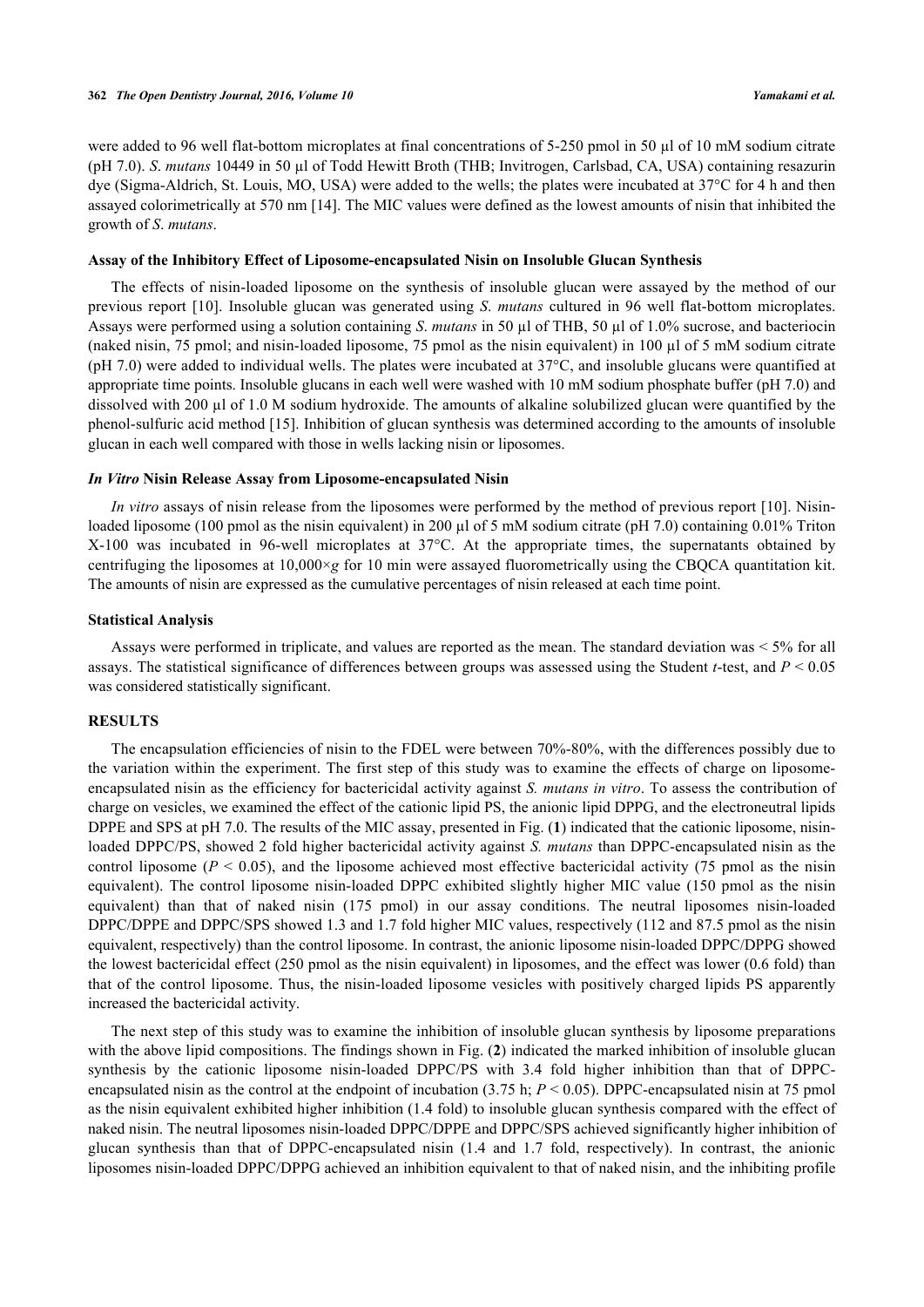were added to 96 well flat-bottom microplates at final concentrations of 5-250 pmol in 50 µl of 10 mM sodium citrate (pH 7.0). *S*. *mutans* 10449 in 50 µl of Todd Hewitt Broth (THB; Invitrogen, Carlsbad, CA, USA) containing resazurin dye (Sigma-Aldrich, St. Louis, MO, USA) were added to the wells; the plates were incubated at 37°C for 4 h and then assayed colorimetrically at 570 nm [[14\]](#page-5-13). The MIC values were defined as the lowest amounts of nisin that inhibited the growth of *S*. *mutans*.

#### **Assay of the Inhibitory Effect of Liposome-encapsulated Nisin on Insoluble Glucan Synthesis**

The effects of nisin-loaded liposome on the synthesis of insoluble glucan were assayed by the method of our previous report [\[10\]](#page-5-9). Insoluble glucan was generated using *S*. *mutans* cultured in 96 well flat-bottom microplates. Assays were performed using a solution containing *S*. *mutans* in 50 µl of THB, 50 µl of 1.0% sucrose, and bacteriocin (naked nisin, 75 pmol; and nisin-loaded liposome, 75 pmol as the nisin equivalent) in 100 µl of 5 mM sodium citrate  $(pH 7.0)$  were added to individual wells. The plates were incubated at  $37^{\circ}$ C, and insoluble glucans were quantified at appropriate time points. Insoluble glucans in each well were washed with 10 mM sodium phosphate buffer (pH 7.0) and dissolved with 200 µl of 1.0 M sodium hydroxide. The amounts of alkaline solubilized glucan were quantified by the phenol-sulfuric acid method [[15](#page-5-14)]. Inhibition of glucan synthesis was determined according to the amounts of insoluble glucan in each well compared with those in wells lacking nisin or liposomes.

#### *In Vitro* **Nisin Release Assay from Liposome-encapsulated Nisin**

*In vitro* assays of nisin release from the liposomes were performed by the method of previous report [[10](#page-5-9)]. Nisinloaded liposome (100 pmol as the nisin equivalent) in 200 µl of 5 mM sodium citrate (pH 7.0) containing 0.01% Triton X-100 was incubated in 96-well microplates at 37°C. At the appropriate times, the supernatants obtained by centrifuging the liposomes at  $10,000\times g$  for 10 min were assayed fluorometrically using the CBQCA quantitation kit. The amounts of nisin are expressed as the cumulative percentages of nisin released at each time point.

#### **Statistical Analysis**

Assays were performed in triplicate, and values are reported as the mean. The standard deviation was < 5% for all assays. The statistical significance of differences between groups was assessed using the Student *t*-test, and *P* < 0.05 was considered statistically significant.

## **RESULTS**

The encapsulation efficiencies of nisin to the FDEL were between 70%-80%, with the differences possibly due to the variation within the experiment. The first step of this study was to examine the effects of charge on liposomeencapsulated nisin as the efficiency for bactericidal activity against *S. mutans in vitro*. To assess the contribution of charge on vesicles, we examined the effect of the cationic lipid PS, the anionic lipid DPPG, and the electroneutral lipids DPPE and SPS at pH 7.0. The results of the MIC assay, presented in Fig. (**[1](#page-3-0)**) indicated that the cationic liposome, nisinloaded DPPC/PS, showed 2 fold higher bactericidal activity against *S. mutans* than DPPC-encapsulated nisin as the control liposome  $(P < 0.05)$ , and the liposome achieved most effective bactericidal activity (75 pmol as the nisin equivalent). The control liposome nisin-loaded DPPC exhibited slightly higher MIC value (150 pmol as the nisin equivalent) than that of naked nisin (175 pmol) in our assay conditions. The neutral liposomes nisin-loaded DPPC/DPPE and DPPC/SPS showed 1.3 and 1.7 fold higher MIC values, respectively (112 and 87.5 pmol as the nisin equivalent, respectively) than the control liposome. In contrast, the anionic liposome nisin-loaded DPPC/DPPG showed the lowest bactericidal effect (250 pmol as the nisin equivalent) in liposomes, and the effect was lower (0.6 fold) than that of the control liposome. Thus, the nisin-loaded liposome vesicles with positively charged lipids PS apparently increased the bactericidal activity.

The next step of this study was to examine the inhibition of insoluble glucan synthesis by liposome preparations with the above lipid compositions. The findings shown in Fig. ([2](#page-3-1)) indicated the marked inhibition of insoluble glucan synthesis by the cationic liposome nisin-loaded DPPC/PS with 3.4 fold higher inhibition than that of DPPCencapsulated nisin as the control at the endpoint of incubation (3.75 h;  $P \le 0.05$ ). DPPC-encapsulated nisin at 75 pmol as the nisin equivalent exhibited higher inhibition (1.4 fold) to insoluble glucan synthesis compared with the effect of naked nisin. The neutral liposomes nisin-loaded DPPC/DPPE and DPPC/SPS achieved significantly higher inhibition of glucan synthesis than that of DPPC-encapsulated nisin (1.4 and 1.7 fold, respectively). In contrast, the anionic liposomes nisin-loaded DPPC/DPPG achieved an inhibition equivalent to that of naked nisin, and the inhibiting profile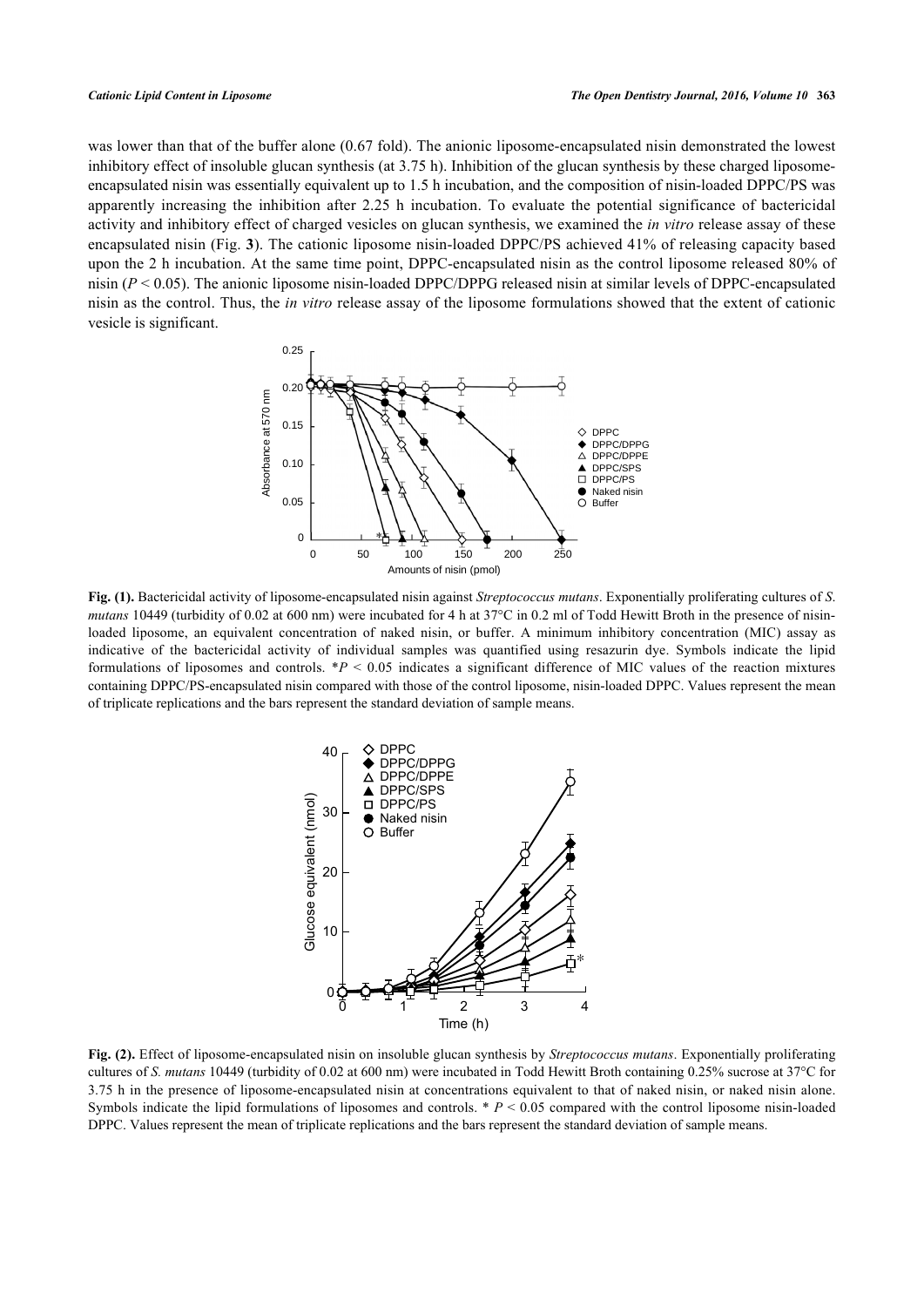<span id="page-3-0"></span>was lower than that of the buffer alone (0.67 fold). The anionic liposome-encapsulated nisin demonstrated the lowest inhibitory effect of insoluble glucan synthesis (at 3.75 h). Inhibition of the glucan synthesis by these charged liposomeencapsulated nisin was essentially equivalent up to 1.5 h incubation, and the composition of nisin-loaded DPPC/PS was apparently increasing the inhibition after 2.25 h incubation. To evaluate the potential significance of bactericidal activity and inhibitory effect of charged vesicles on glucan synthesis, we examined the *in vitro* release assay of these encapsulated nisin (Fig. **[3](#page-3-2)**). The cationic liposome nisin-loaded DPPC/PS achieved 41% of releasing capacity based upon the 2 h incubation. At the same time point, DPPC-encapsulated nisin as the control liposome released 80% of nisin (*P* < 0.05). The anionic liposome nisin-loaded DPPC/DPPG released nisin at similar levels of DPPC-encapsulated nisin as the control. Thus, the *in vitro* release assay of the liposome formulations showed that the extent of cationic vesicle is significant.



<span id="page-3-1"></span>**Fig. (1).** Bactericidal activity of liposome-encapsulated nisin against *Streptococcus mutans*. Exponentially proliferating cultures of *S*. *mutans* 10449 (turbidity of 0.02 at 600 nm) were incubated for 4 h at 37<sup>o</sup>C in 0.2 ml of Todd Hewitt Broth in the presence of nisinloaded liposome, an equivalent concentration of naked nisin, or buffer. A minimum inhibitory concentration (MIC) assay as indicative of the bactericidal activity of individual samples was quantified using resazurin dye. Symbols indicate the lipid formulations of liposomes and controls. \**P* < 0.05 indicates a significant difference of MIC values of the reaction mixtures containing DPPC/PS-encapsulated nisin compared with those of the control liposome, nisin-loaded DPPC. Values represent the mean of triplicate replications and the bars represent the standard deviation of sample means.



<span id="page-3-2"></span>**Fig. (2).** Effect of liposome-encapsulated nisin on insoluble glucan synthesis by *Streptococcus mutans*. Exponentially proliferating cultures of *S. mutans* 10449 (turbidity of 0.02 at 600 nm) were incubated in Todd Hewitt Broth containing 0.25% sucrose at 37°C for 3.75 h in the presence of liposome-encapsulated nisin at concentrations equivalent to that of naked nisin, or naked nisin alone. Symbols indicate the lipid formulations of liposomes and controls. \* *P* < 0.05 compared with the control liposome nisin-loaded DPPC. Values represent the mean of triplicate replications and the bars represent the standard deviation of sample means.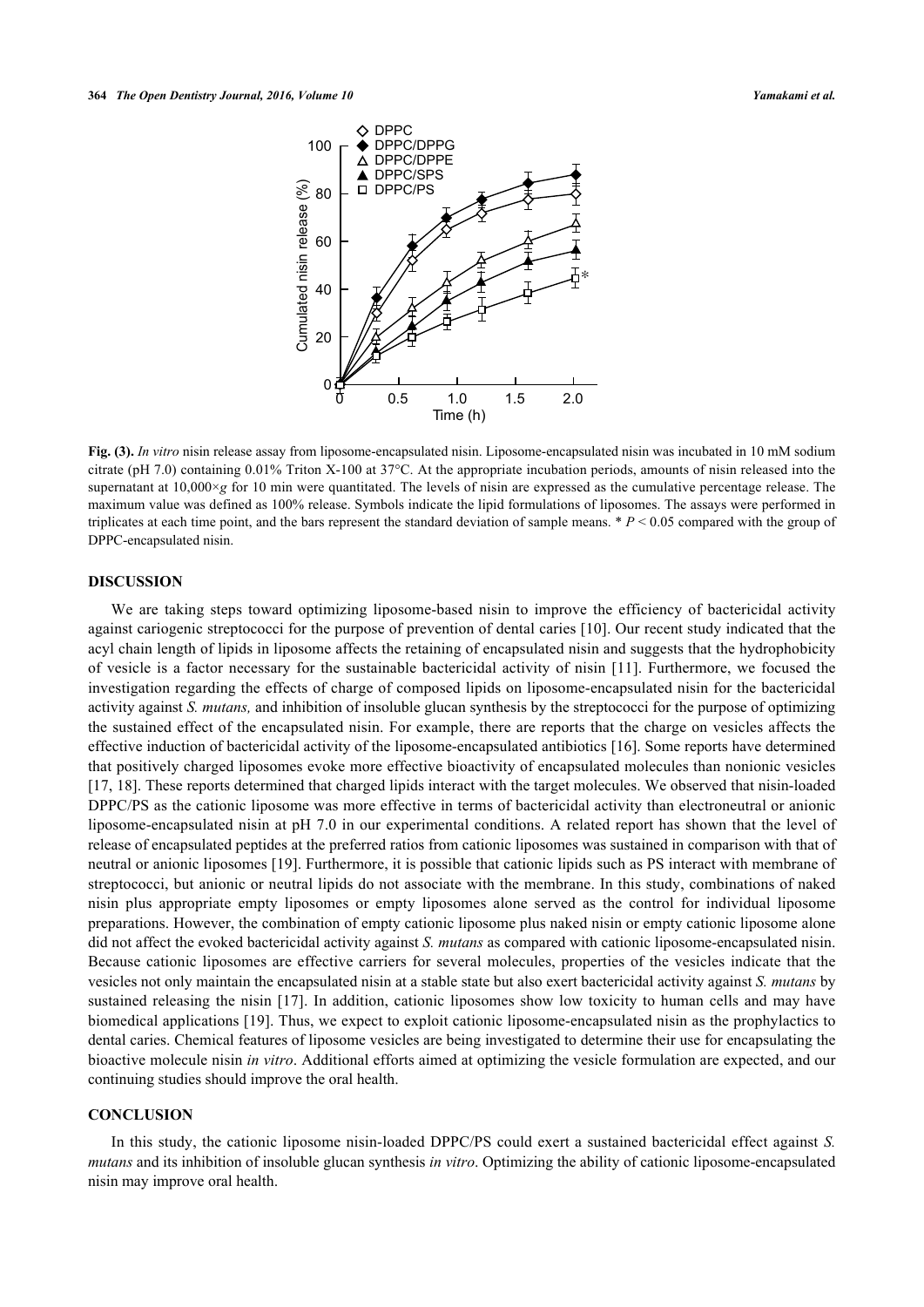

**Fig. (3).** *In vitro* nisin release assay from liposome-encapsulated nisin. Liposome-encapsulated nisin was incubated in 10 mM sodium citrate (pH 7.0) containing 0.01% Triton X-100 at 37°C. At the appropriate incubation periods, amounts of nisin released into the supernatant at 10,000×*g* for 10 min were quantitated. The levels of nisin are expressed as the cumulative percentage release. The maximum value was defined as 100% release. Symbols indicate the lipid formulations of liposomes. The assays were performed in triplicates at each time point, and the bars represent the standard deviation of sample means.  $P < 0.05$  compared with the group of DPPC-encapsulated nisin.

## **DISCUSSION**

We are taking steps toward optimizing liposome-based nisin to improve the efficiency of bactericidal activity against cariogenic streptococci for the purpose of prevention of dental caries [[10\]](#page-5-9). Our recent study indicated that the acyl chain length of lipids in liposome affects the retaining of encapsulated nisin and suggests that the hydrophobicity of vesicle is a factor necessary for the sustainable bactericidal activity of nisin [[11\]](#page-5-10). Furthermore, we focused the investigation regarding the effects of charge of composed lipids on liposome-encapsulated nisin for the bactericidal activity against *S. mutans,* and inhibition of insoluble glucan synthesis by the streptococci for the purpose of optimizing the sustained effect of the encapsulated nisin. For example, there are reports that the charge on vesicles affects the effective induction of bactericidal activity of the liposome-encapsulated antibiotics [\[16](#page-5-15)]. Some reports have determined that positively charged liposomes evoke more effective bioactivity of encapsulated molecules than nonionic vesicles [\[17](#page-5-16), [18](#page-5-17)]. These reports determined that charged lipids interact with the target molecules. We observed that nisin-loaded DPPC/PS as the cationic liposome was more effective in terms of bactericidal activity than electroneutral or anionic liposome-encapsulated nisin at pH 7.0 in our experimental conditions. A related report has shown that the level of release of encapsulated peptides at the preferred ratios from cationic liposomes was sustained in comparison with that of neutral or anionic liposomes [\[19](#page-6-0)]. Furthermore, it is possible that cationic lipids such as PS interact with membrane of streptococci, but anionic or neutral lipids do not associate with the membrane. In this study, combinations of naked nisin plus appropriate empty liposomes or empty liposomes alone served as the control for individual liposome preparations. However, the combination of empty cationic liposome plus naked nisin or empty cationic liposome alone did not affect the evoked bactericidal activity against *S. mutans* as compared with cationic liposome-encapsulated nisin. Because cationic liposomes are effective carriers for several molecules, properties of the vesicles indicate that the vesicles not only maintain the encapsulated nisin at a stable state but also exert bactericidal activity against *S. mutans* by sustained releasing the nisin [\[17](#page-5-16)]. In addition, cationic liposomes show low toxicity to human cells and may have biomedical applications [[19\]](#page-6-0). Thus, we expect to exploit cationic liposome-encapsulated nisin as the prophylactics to dental caries. Chemical features of liposome vesicles are being investigated to determine their use for encapsulating the bioactive molecule nisin *in vitro*. Additional efforts aimed at optimizing the vesicle formulation are expected, and our continuing studies should improve the oral health.

#### **CONCLUSION**

In this study, the cationic liposome nisin-loaded DPPC/PS could exert a sustained bactericidal effect against *S. mutans* and its inhibition of insoluble glucan synthesis *in vitro*. Optimizing the ability of cationic liposome-encapsulated nisin may improve oral health.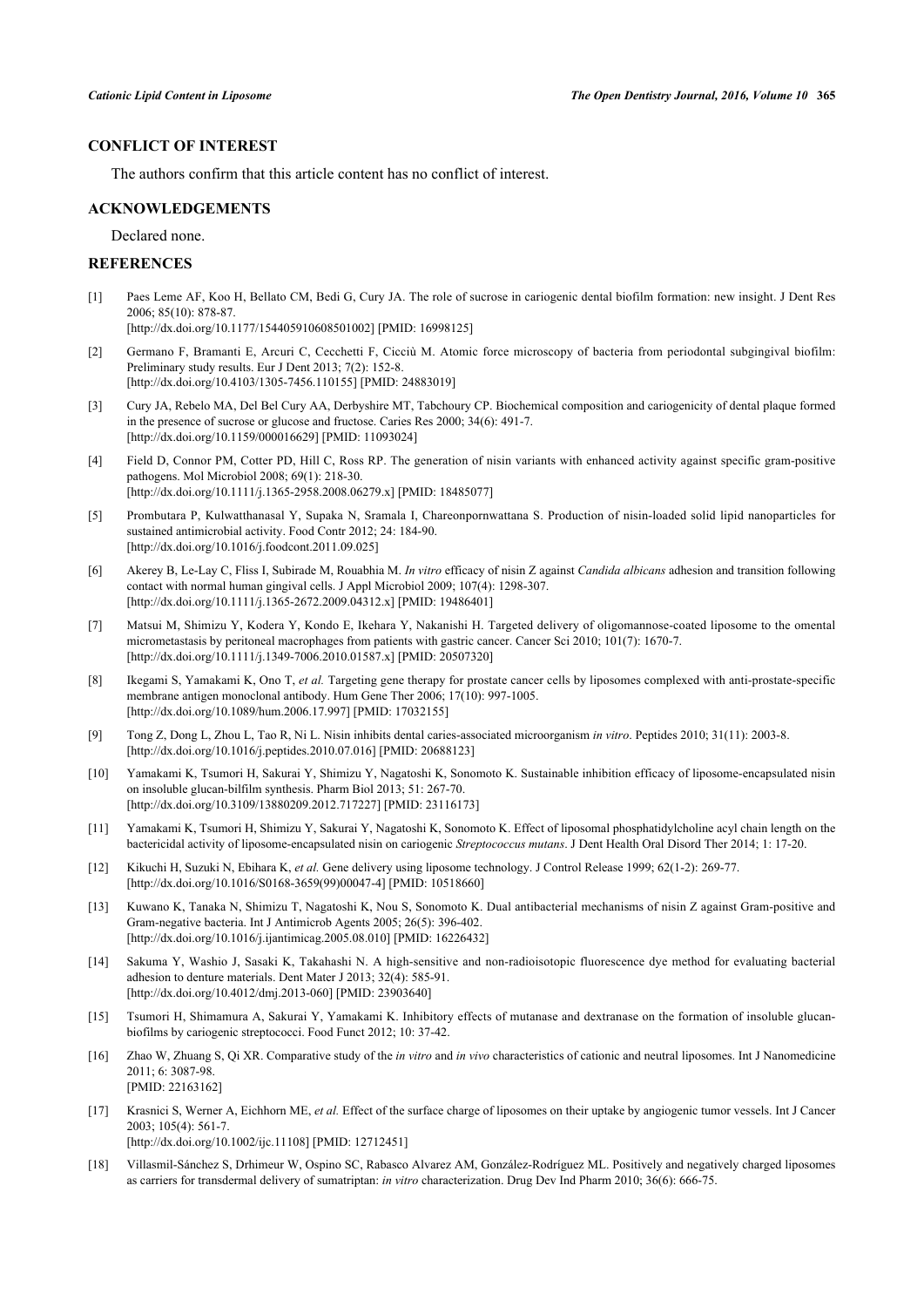## **CONFLICT OF INTEREST**

The authors confirm that this article content has no conflict of interest.

#### **ACKNOWLEDGEMENTS**

Declared none.

## **REFERENCES**

<span id="page-5-0"></span>[1] Paes Leme AF, Koo H, Bellato CM, Bedi G, Cury JA. The role of sucrose in cariogenic dental biofilm formation: new insight. J Dent Res 2006; 85(10): 878-87.

[\[http://dx.doi.org/10.1177/154405910608501002\]](http://dx.doi.org/10.1177/154405910608501002) [PMID: [16998125](http://www.ncbi.nlm.nih.gov/pubmed/16998125)]

- <span id="page-5-1"></span>[2] Germano F, Bramanti E, Arcuri C, Cecchetti F, Cicciù M. Atomic force microscopy of bacteria from periodontal subgingival biofilm: Preliminary study results. Eur J Dent 2013; 7(2): 152-8. [\[http://dx.doi.org/10.4103/1305-7456.110155](http://dx.doi.org/10.4103/1305-7456.110155)] [PMID: [24883019](http://www.ncbi.nlm.nih.gov/pubmed/24883019)]
- <span id="page-5-2"></span>[3] Cury JA, Rebelo MA, Del Bel Cury AA, Derbyshire MT, Tabchoury CP. Biochemical composition and cariogenicity of dental plaque formed in the presence of sucrose or glucose and fructose. Caries Res 2000; 34(6): 491-7. [\[http://dx.doi.org/10.1159/000016629\]](http://dx.doi.org/10.1159/000016629) [PMID: [11093024](http://www.ncbi.nlm.nih.gov/pubmed/11093024)]
- <span id="page-5-3"></span>[4] Field D, Connor PM, Cotter PD, Hill C, Ross RP. The generation of nisin variants with enhanced activity against specific gram-positive pathogens. Mol Microbiol 2008; 69(1): 218-30. [\[http://dx.doi.org/10.1111/j.1365-2958.2008.06279.x\]](http://dx.doi.org/10.1111/j.1365-2958.2008.06279.x) [PMID: [18485077](http://www.ncbi.nlm.nih.gov/pubmed/18485077)]
- <span id="page-5-4"></span>[5] Prombutara P, Kulwatthanasal Y, Supaka N, Sramala I, Chareonpornwattana S. Production of nisin-loaded solid lipid nanoparticles for sustained antimicrobial activity. Food Contr 2012; 24: 184-90. [\[http://dx.doi.org/10.1016/j.foodcont.2011.09.025](http://dx.doi.org/10.1016/j.foodcont.2011.09.025)]
- <span id="page-5-5"></span>[6] Akerey B, Le-Lay C, Fliss I, Subirade M, Rouabhia M. *In vitro* efficacy of nisin Z against *Candida albicans* adhesion and transition following contact with normal human gingival cells. J Appl Microbiol 2009; 107(4): 1298-307. [\[http://dx.doi.org/10.1111/j.1365-2672.2009.04312.x\]](http://dx.doi.org/10.1111/j.1365-2672.2009.04312.x) [PMID: [19486401](http://www.ncbi.nlm.nih.gov/pubmed/19486401)]
- <span id="page-5-6"></span>[7] Matsui M, Shimizu Y, Kodera Y, Kondo E, Ikehara Y, Nakanishi H. Targeted delivery of oligomannose-coated liposome to the omental micrometastasis by peritoneal macrophages from patients with gastric cancer. Cancer Sci 2010; 101(7): 1670-7. [\[http://dx.doi.org/10.1111/j.1349-7006.2010.01587.x\]](http://dx.doi.org/10.1111/j.1349-7006.2010.01587.x) [PMID: [20507320](http://www.ncbi.nlm.nih.gov/pubmed/20507320)]
- <span id="page-5-7"></span>[8] Ikegami S, Yamakami K, Ono T, *et al.* Targeting gene therapy for prostate cancer cells by liposomes complexed with anti-prostate-specific membrane antigen monoclonal antibody. Hum Gene Ther 2006; 17(10): 997-1005. [\[http://dx.doi.org/10.1089/hum.2006.17.997](http://dx.doi.org/10.1089/hum.2006.17.997)] [PMID: [17032155\]](http://www.ncbi.nlm.nih.gov/pubmed/17032155)
- <span id="page-5-8"></span>[9] Tong Z, Dong L, Zhou L, Tao R, Ni L. Nisin inhibits dental caries-associated microorganism *in vitro*. Peptides 2010; 31(11): 2003-8. [\[http://dx.doi.org/10.1016/j.peptides.2010.07.016\]](http://dx.doi.org/10.1016/j.peptides.2010.07.016) [PMID: [20688123](http://www.ncbi.nlm.nih.gov/pubmed/20688123)]
- <span id="page-5-9"></span>[10] Yamakami K, Tsumori H, Sakurai Y, Shimizu Y, Nagatoshi K, Sonomoto K. Sustainable inhibition efficacy of liposome-encapsulated nisin on insoluble glucan-bilfilm synthesis. Pharm Biol 2013; 51: 267-70. [\[http://dx.doi.org/10.3109/13880209.2012.717227\]](http://dx.doi.org/10.3109/13880209.2012.717227) [PMID: [23116173](http://www.ncbi.nlm.nih.gov/pubmed/23116173)]
- <span id="page-5-10"></span>[11] Yamakami K, Tsumori H, Shimizu Y, Sakurai Y, Nagatoshi K, Sonomoto K. Effect of liposomal phosphatidylcholine acyl chain length on the bactericidal activity of liposome-encapsulated nisin on cariogenic *Streptococcus mutans*. J Dent Health Oral Disord Ther 2014; 1: 17-20.
- <span id="page-5-11"></span>[12] Kikuchi H, Suzuki N, Ebihara K, *et al.* Gene delivery using liposome technology. J Control Release 1999; 62(1-2): 269-77. [\[http://dx.doi.org/10.1016/S0168-3659\(99\)00047-4\]](http://dx.doi.org/10.1016/S0168-3659(99)00047-4) [PMID: [10518660](http://www.ncbi.nlm.nih.gov/pubmed/10518660)]
- <span id="page-5-12"></span>[13] Kuwano K, Tanaka N, Shimizu T, Nagatoshi K, Nou S, Sonomoto K. Dual antibacterial mechanisms of nisin Z against Gram-positive and Gram-negative bacteria. Int J Antimicrob Agents 2005; 26(5): 396-402. [\[http://dx.doi.org/10.1016/j.ijantimicag.2005.08.010](http://dx.doi.org/10.1016/j.ijantimicag.2005.08.010)] [PMID: [16226432\]](http://www.ncbi.nlm.nih.gov/pubmed/16226432)
- <span id="page-5-13"></span>[14] Sakuma Y, Washio J, Sasaki K, Takahashi N. A high-sensitive and non-radioisotopic fluorescence dye method for evaluating bacterial adhesion to denture materials. Dent Mater J 2013; 32(4): 585-91. [\[http://dx.doi.org/10.4012/dmj.2013-060\]](http://dx.doi.org/10.4012/dmj.2013-060) [PMID: [23903640](http://www.ncbi.nlm.nih.gov/pubmed/23903640)]
- <span id="page-5-14"></span>[15] Tsumori H, Shimamura A, Sakurai Y, Yamakami K. Inhibitory effects of mutanase and dextranase on the formation of insoluble glucanbiofilms by cariogenic streptococci. Food Funct 2012; 10: 37-42.
- <span id="page-5-15"></span>[16] Zhao W, Zhuang S, Qi XR. Comparative study of the *in vitro* and *in vivo* characteristics of cationic and neutral liposomes. Int J Nanomedicine 2011; 6: 3087-98. [PMID: [22163162\]](http://www.ncbi.nlm.nih.gov/pubmed/22163162)
- <span id="page-5-16"></span>[17] Krasnici S, Werner A, Eichhorn ME, *et al.* Effect of the surface charge of liposomes on their uptake by angiogenic tumor vessels. Int J Cancer 2003; 105(4): 561-7.

[\[http://dx.doi.org/10.1002/ijc.11108\]](http://dx.doi.org/10.1002/ijc.11108) [PMID: [12712451](http://www.ncbi.nlm.nih.gov/pubmed/12712451)]

<span id="page-5-17"></span>[18] Villasmil-Sánchez S, Drhimeur W, Ospino SC, Rabasco Alvarez AM, González-Rodríguez ML. Positively and negatively charged liposomes as carriers for transdermal delivery of sumatriptan: *in vitro* characterization. Drug Dev Ind Pharm 2010; 36(6): 666-75.